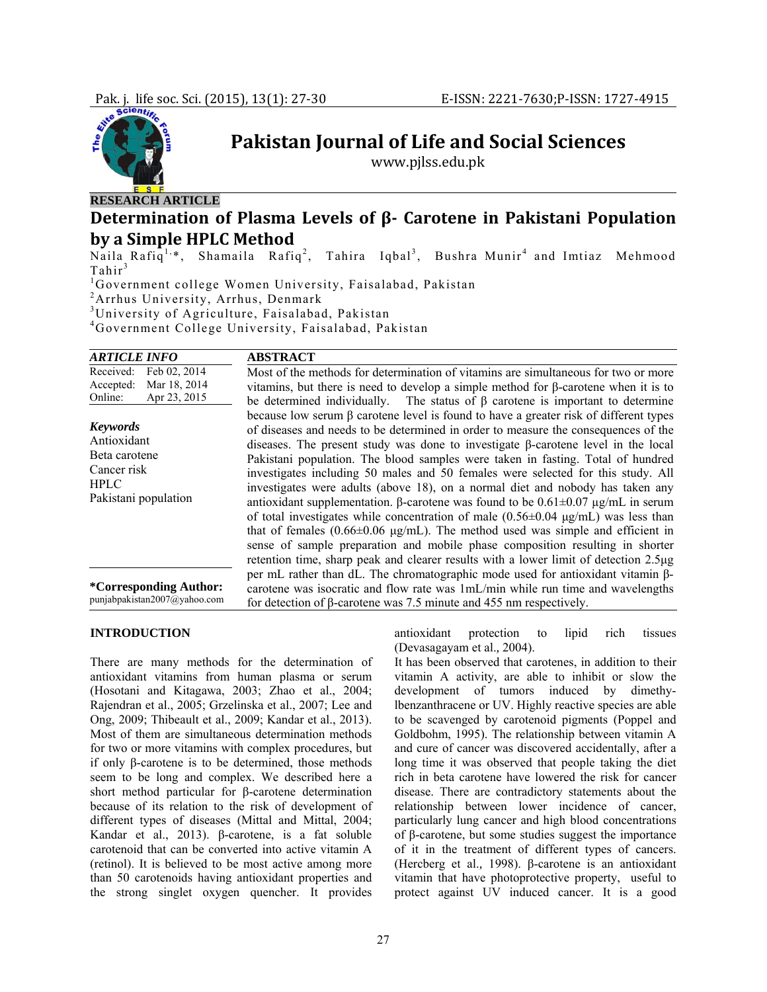

**Pakistan Journal of Life and Social Sciences**

www.pjlss.edu.pk

# **Determination of Plasma Levels of β Carotene in Pakistani Population by a Simple HPLC Method**

Naila Rafiq<sup>1,\*</sup>, Shamaila Rafiq<sup>2</sup>, Tahira Iqbal<sup>3</sup>, Bushra Munir<sup>4</sup> and Imtiaz Mehmood  $Tahir<sup>3</sup>$ 

1 Government college Women University, Faisalabad, Pakistan

<sup>2</sup> Arrhus University, Arrhus, Denmark

3 University of Agriculture, Faisalabad, Pakistan

4 Government College University, Faisalabad, Pakistan

| <i><b>ARTICLE INFO</b></i>                                                                            | <b>ABSTRACT</b>                                                                                                                                                                                                                                                                                                                                                                                                                                                                                                                                                                                                                                                                                                                                                                                                                                                                                                                                                                                                      |
|-------------------------------------------------------------------------------------------------------|----------------------------------------------------------------------------------------------------------------------------------------------------------------------------------------------------------------------------------------------------------------------------------------------------------------------------------------------------------------------------------------------------------------------------------------------------------------------------------------------------------------------------------------------------------------------------------------------------------------------------------------------------------------------------------------------------------------------------------------------------------------------------------------------------------------------------------------------------------------------------------------------------------------------------------------------------------------------------------------------------------------------|
| Received:<br>Feb 02, 2014<br>Mar 18, 2014<br>Accepted:<br>Apr 23, 2015<br>Online:                     | Most of the methods for determination of vitamins are simultaneous for two or more<br>vitamins, but there is need to develop a simple method for $\beta$ -carotene when it is to<br>be determined individually. The status of $\beta$ carotene is important to determine                                                                                                                                                                                                                                                                                                                                                                                                                                                                                                                                                                                                                                                                                                                                             |
| <b>Keywords</b><br>Antioxidant<br>Beta carotene<br>Cancer risk<br><b>HPLC</b><br>Pakistani population | because low serum $\beta$ carotene level is found to have a greater risk of different types<br>of diseases and needs to be determined in order to measure the consequences of the<br>diseases. The present study was done to investigate $\beta$ -carotene level in the local<br>Pakistani population. The blood samples were taken in fasting. Total of hundred<br>investigates including 50 males and 50 females were selected for this study. All<br>investigates were adults (above 18), on a normal diet and nobody has taken any<br>antioxidant supplementation. $\beta$ -carotene was found to be $0.61 \pm 0.07 \mu g/mL$ in serum<br>of total investigates while concentration of male $(0.56\pm0.04 \text{ µg/mL})$ was less than<br>that of females $(0.66\pm0.06 \text{ µg/mL})$ . The method used was simple and efficient in<br>sense of sample preparation and mobile phase composition resulting in shorter<br>retention time, sharp peak and clearer results with a lower limit of detection 2.5 µg |
| *Corresponding Author:<br>punjabpakistan2007@yahoo.com                                                | per mL rather than dL. The chromatographic mode used for antioxidant vitamin ß-<br>carotene was isocratic and flow rate was 1mL/min while run time and wavelengths<br>for detection of $\beta$ -carotene was 7.5 minute and 455 nm respectively.                                                                                                                                                                                                                                                                                                                                                                                                                                                                                                                                                                                                                                                                                                                                                                     |

# **INTRODUCTION**

There are many methods for the determination of antioxidant vitamins from human plasma or serum (Hosotani and Kitagawa, 2003; Zhao et al., 2004; Rajendran et al., 2005; Grzelinska et al., 2007; Lee and Ong, 2009; Thibeault et al., 2009; Kandar et al., 2013). Most of them are simultaneous determination methods for two or more vitamins with complex procedures, but if only β-carotene is to be determined, those methods seem to be long and complex. We described here a short method particular for β-carotene determination because of its relation to the risk of development of different types of diseases (Mittal and Mittal, 2004; Kandar et al., 2013). β-carotene, is a fat soluble carotenoid that can be converted into active vitamin A (retinol). It is believed to be most active among more than 50 carotenoids having antioxidant properties and the strong singlet oxygen quencher. It provides

antioxidant protection to lipid rich tissues (Devasagayam et al.*,* 2004).

It has been observed that carotenes, in addition to their vitamin A activity, are able to inhibit or slow the development of tumors induced by dimethylbenzanthracene or UV. Highly reactive species are able to be scavenged by carotenoid pigments (Poppel and Goldbohm, 1995). The relationship between vitamin A and cure of cancer was discovered accidentally, after a long time it was observed that people taking the diet rich in beta carotene have lowered the risk for cancer disease. There are contradictory statements about the relationship between lower incidence of cancer, particularly lung cancer and high blood concentrations of β-carotene, but some studies suggest the importance of it in the treatment of different types of cancers. (Hercberg et al.*,* 1998). β-carotene is an antioxidant vitamin that have photoprotective property, useful to protect against UV induced cancer. It is a good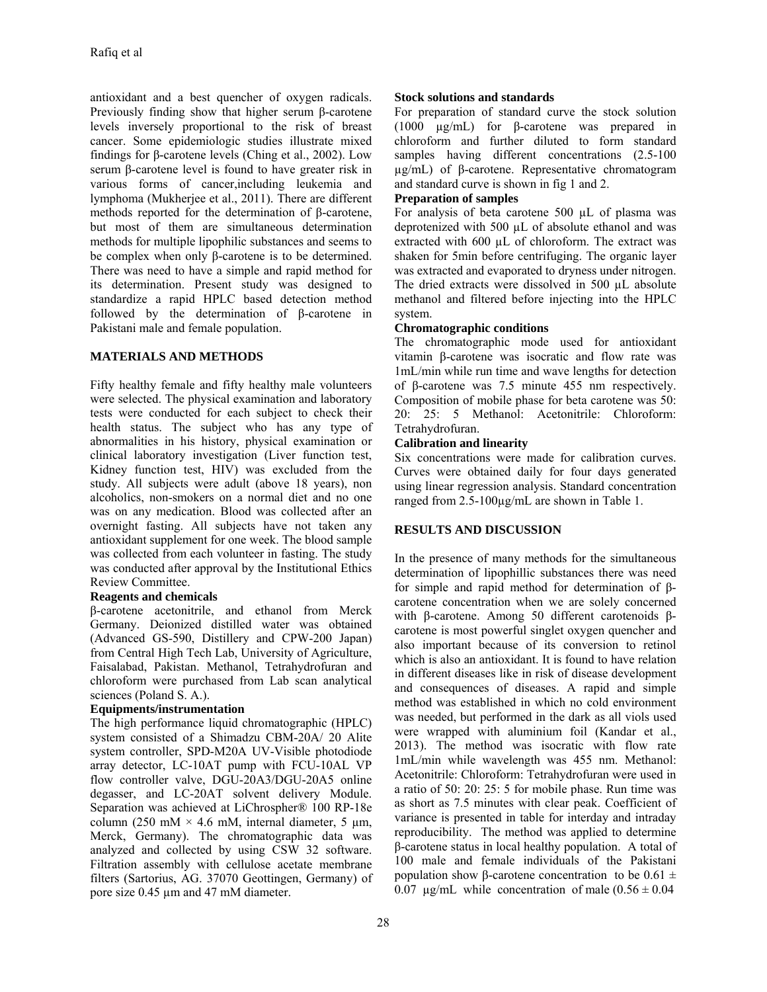antioxidant and a best quencher of oxygen radicals. Previously finding show that higher serum β-carotene levels inversely proportional to the risk of breast cancer. Some epidemiologic studies illustrate mixed findings for β-carotene levels (Ching et al., 2002). Low serum β-carotene level is found to have greater risk in various forms of cancer,including leukemia and lymphoma (Mukherjee et al., 2011). There are different methods reported for the determination of β-carotene, but most of them are simultaneous determination methods for multiple lipophilic substances and seems to be complex when only β-carotene is to be determined. There was need to have a simple and rapid method for its determination. Present study was designed to standardize a rapid HPLC based detection method followed by the determination of β-carotene in Pakistani male and female population.

#### **MATERIALS AND METHODS**

Fifty healthy female and fifty healthy male volunteers were selected. The physical examination and laboratory tests were conducted for each subject to check their health status. The subject who has any type of abnormalities in his history, physical examination or clinical laboratory investigation (Liver function test, Kidney function test, HIV) was excluded from the study. All subjects were adult (above 18 years), non alcoholics, non-smokers on a normal diet and no one was on any medication. Blood was collected after an overnight fasting. All subjects have not taken any antioxidant supplement for one week. The blood sample was collected from each volunteer in fasting. The study was conducted after approval by the Institutional Ethics Review Committee.

#### **Reagents and chemicals**

β-carotene acetonitrile, and ethanol from Merck Germany. Deionized distilled water was obtained (Advanced GS-590, Distillery and CPW-200 Japan) from Central High Tech Lab, University of Agriculture, Faisalabad, Pakistan. Methanol, Tetrahydrofuran and chloroform were purchased from Lab scan analytical sciences (Poland S. A.).

#### **Equipments/instrumentation**

The high performance liquid chromatographic (HPLC) system consisted of a Shimadzu CBM-20A/ 20 Alite system controller, SPD-M20A UV-Visible photodiode array detector, LC-10AT pump with FCU-10AL VP flow controller valve, DGU-20A3/DGU-20A5 online degasser, and LC-20AT solvent delivery Module. Separation was achieved at LiChrospher® 100 RP-18e column (250 mM  $\times$  4.6 mM, internal diameter, 5 µm, Merck, Germany). The chromatographic data was analyzed and collected by using CSW 32 software. Filtration assembly with cellulose acetate membrane filters (Sartorius, AG. 37070 Geottingen, Germany) of pore size 0.45 µm and 47 mM diameter.

#### **Stock solutions and standards**

For preparation of standard curve the stock solution (1000 µg/mL) for β-carotene was prepared in chloroform and further diluted to form standard samples having different concentrations  $(2.5-100)$ µg/mL) of β-carotene. Representative chromatogram and standard curve is shown in fig 1 and 2.

# **Preparation of samples**

For analysis of beta carotene 500 µL of plasma was deprotenized with 500 µL of absolute ethanol and was extracted with 600 µL of chloroform. The extract was shaken for 5min before centrifuging. The organic layer was extracted and evaporated to dryness under nitrogen. The dried extracts were dissolved in 500 µL absolute methanol and filtered before injecting into the HPLC system.

#### **Chromatographic conditions**

The chromatographic mode used for antioxidant vitamin β-carotene was isocratic and flow rate was 1mL/min while run time and wave lengths for detection of β-carotene was 7.5 minute 455 nm respectively. Composition of mobile phase for beta carotene was 50: 20: 25: 5 Methanol: Acetonitrile: Chloroform: Tetrahydrofuran.

#### **Calibration and linearity**

Six concentrations were made for calibration curves. Curves were obtained daily for four days generated using linear regression analysis. Standard concentration ranged from 2.5-100µg/mL are shown in Table 1.

# **RESULTS AND DISCUSSION**

In the presence of many methods for the simultaneous determination of lipophillic substances there was need for simple and rapid method for determination of βcarotene concentration when we are solely concerned with β-carotene. Among 50 different carotenoids βcarotene is most powerful singlet oxygen quencher and also important because of its conversion to retinol which is also an antioxidant. It is found to have relation in different diseases like in risk of disease development and consequences of diseases. A rapid and simple method was established in which no cold environment was needed, but performed in the dark as all viols used were wrapped with aluminium foil (Kandar et al., 2013). The method was isocratic with flow rate 1mL/min while wavelength was 455 nm. Methanol: Acetonitrile: Chloroform: Tetrahydrofuran were used in a ratio of 50: 20: 25: 5 for mobile phase. Run time was as short as 7.5 minutes with clear peak. Coefficient of variance is presented in table for interday and intraday reproducibility. The method was applied to determine β-carotene status in local healthy population. A total of 100 male and female individuals of the Pakistani population show β-carotene concentration to be  $0.61 \pm$ 0.07  $\mu$ g/mL while concentration of male (0.56  $\pm$  0.04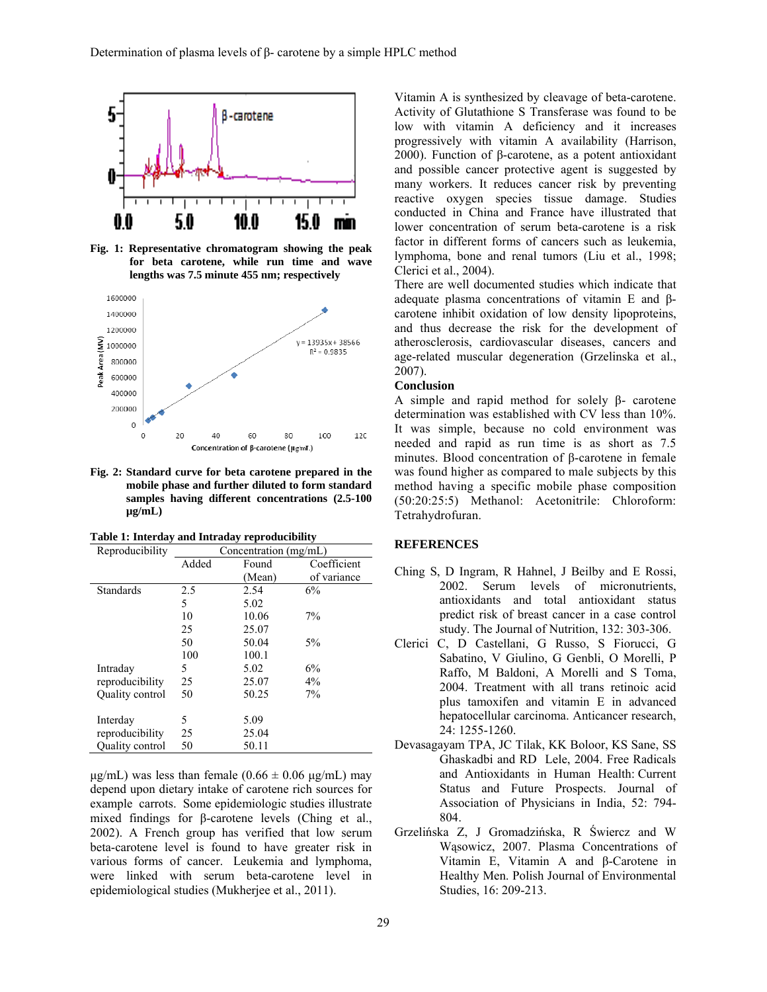

**Fig. 1: Representative chromatogram showing the peak for beta carotene, while run time and wave lengths was 7.5 minute 455 nm; respectively** 



**Fig. 2: Standard curve for beta carotene prepared in the mobile phase and further diluted to form standard samples having different concentrations (2.5-100 µg/mL)** 

| Table 1: Interday and Intraday reproducibility |  |
|------------------------------------------------|--|
|------------------------------------------------|--|

| Reproducibility        | Concentration (mg/mL) |        |             |
|------------------------|-----------------------|--------|-------------|
|                        | Added                 | Found  | Coefficient |
|                        |                       | (Mean) | of variance |
| <b>Standards</b>       | 2.5                   | 2.54   | 6%          |
|                        | 5                     | 5.02   |             |
|                        | 10                    | 10.06  | 7%          |
|                        | 25                    | 25.07  |             |
|                        | 50                    | 50.04  | $5\%$       |
|                        | 100                   | 100.1  |             |
| Intraday               | 5                     | 5.02   | 6%          |
| reproducibility        | 25                    | 25.07  | 4%          |
| <b>Ouality control</b> | 50                    | 50.25  | 7%          |
| Interday               | 5                     | 5.09   |             |
|                        |                       |        |             |
| reproducibility        | 25                    | 25.04  |             |
| Quality control        | 50                    | 50.11  |             |

 $\mu$ g/mL) was less than female (0.66  $\pm$  0.06  $\mu$ g/mL) may depend upon dietary intake of carotene rich sources for example carrots. Some epidemiologic studies illustrate mixed findings for β-carotene levels (Ching et al., 2002). A French group has verified that low serum beta-carotene level is found to have greater risk in various forms of cancer. Leukemia and lymphoma, were linked with serum beta-carotene level in epidemiological studies (Mukherjee et al., 2011).

Vitamin A is synthesized by cleavage of beta-carotene. Activity of Glutathione S Transferase was found to be low with vitamin A deficiency and it increases progressively with vitamin A availability (Harrison, 2000). Function of β-carotene, as a potent antioxidant and possible cancer protective agent is suggested by many workers. It reduces cancer risk by preventing reactive oxygen species tissue damage. Studies conducted in China and France have illustrated that lower concentration of serum beta-carotene is a risk factor in different forms of cancers such as leukemia, lymphoma, bone and renal tumors (Liu et al., 1998; Clerici et al., 2004).

There are well documented studies which indicate that adequate plasma concentrations of vitamin E and βcarotene inhibit oxidation of low density lipoproteins, and thus decrease the risk for the development of atherosclerosis, cardiovascular diseases, cancers and age-related muscular degeneration (Grzelinska et al., 2007).

### **Conclusion**

A simple and rapid method for solely β- carotene determination was established with CV less than 10%. It was simple, because no cold environment was needed and rapid as run time is as short as 7.5 minutes. Blood concentration of β-carotene in female was found higher as compared to male subjects by this method having a specific mobile phase composition (50:20:25:5) Methanol: Acetonitrile: Chloroform: Tetrahydrofuran.

#### **REFERENCES**

- Ching S, D Ingram, R Hahnel, J Beilby and E Rossi, 2002. Serum levels of micronutrients, antioxidants and total antioxidant status predict risk of breast cancer in a case control study. The Journal of Nutrition, 132: 303-306.
- Clerici C, D Castellani, G Russo, S Fiorucci, G Sabatino, V Giulino, G Genbli, O Morelli, P Raffo, M Baldoni, A Morelli and S Toma, 2004. Treatment with all trans retinoic acid plus tamoxifen and vitamin E in advanced hepatocellular carcinoma. Anticancer research, 24: 1255-1260.
- Devasagayam TPA, JC Tilak, KK Boloor, KS Sane, SS Ghaskadbi and RD Lele, 2004. Free Radicals and Antioxidants in Human Health: Current Status and Future Prospects. Journal of Association of Physicians in India, 52: 794- 804.
- Grzelińska Z, J Gromadzińska, R Świercz and W Wąsowicz, 2007. Plasma Concentrations of Vitamin E, Vitamin A and β-Carotene in Healthy Men. Polish Journal of Environmental Studies, 16: 209-213.